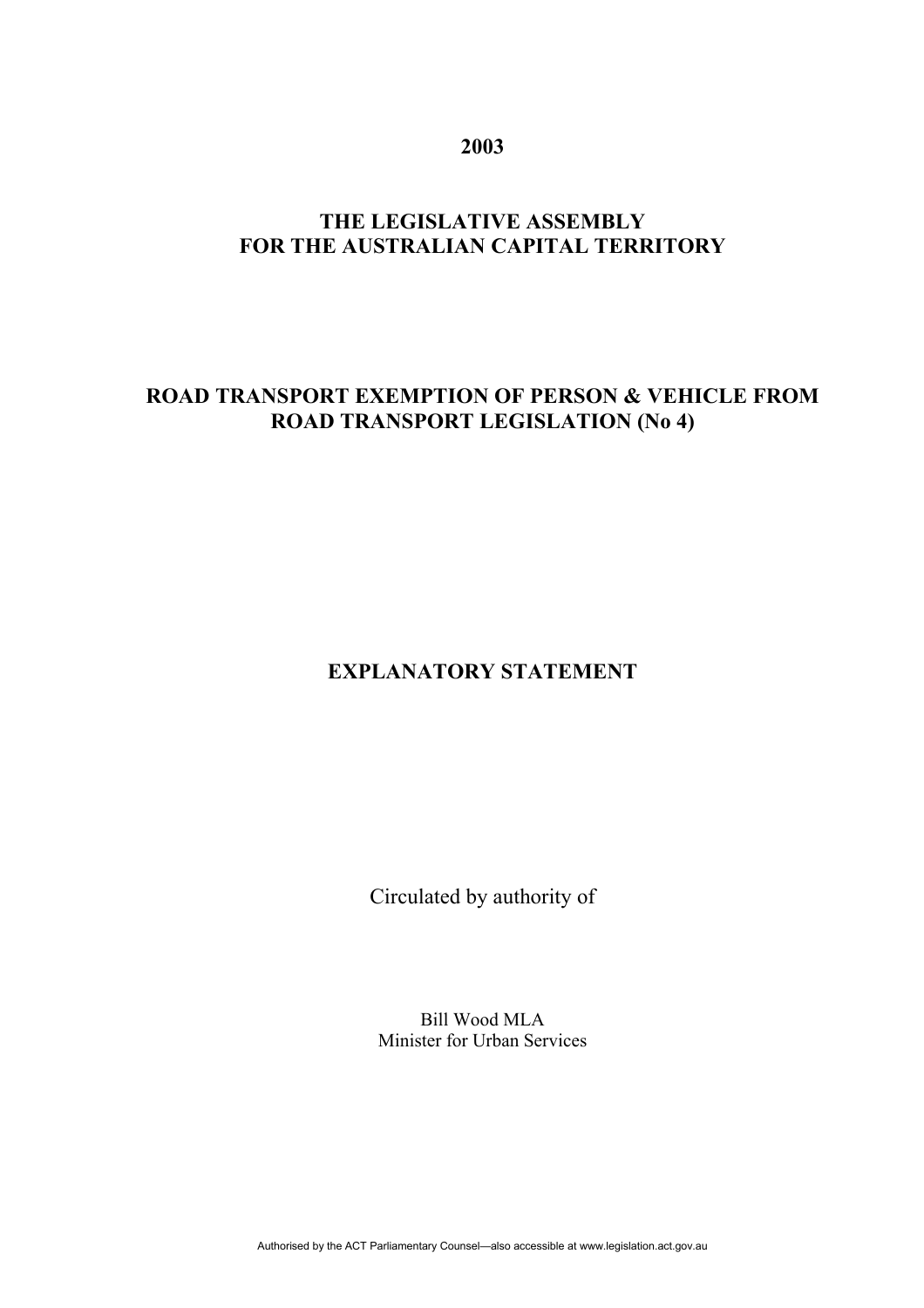**2003** 

# **THE LEGISLATIVE ASSEMBLY FOR THE AUSTRALIAN CAPITAL TERRITORY**

#### **ROAD TRANSPORT EXEMPTION OF PERSON & VEHICLE FROM ROAD TRANSPORT LEGISLATION (No 4)**

# **EXPLANATORY STATEMENT**

Circulated by authority of

Bill Wood MLA Minister for Urban Services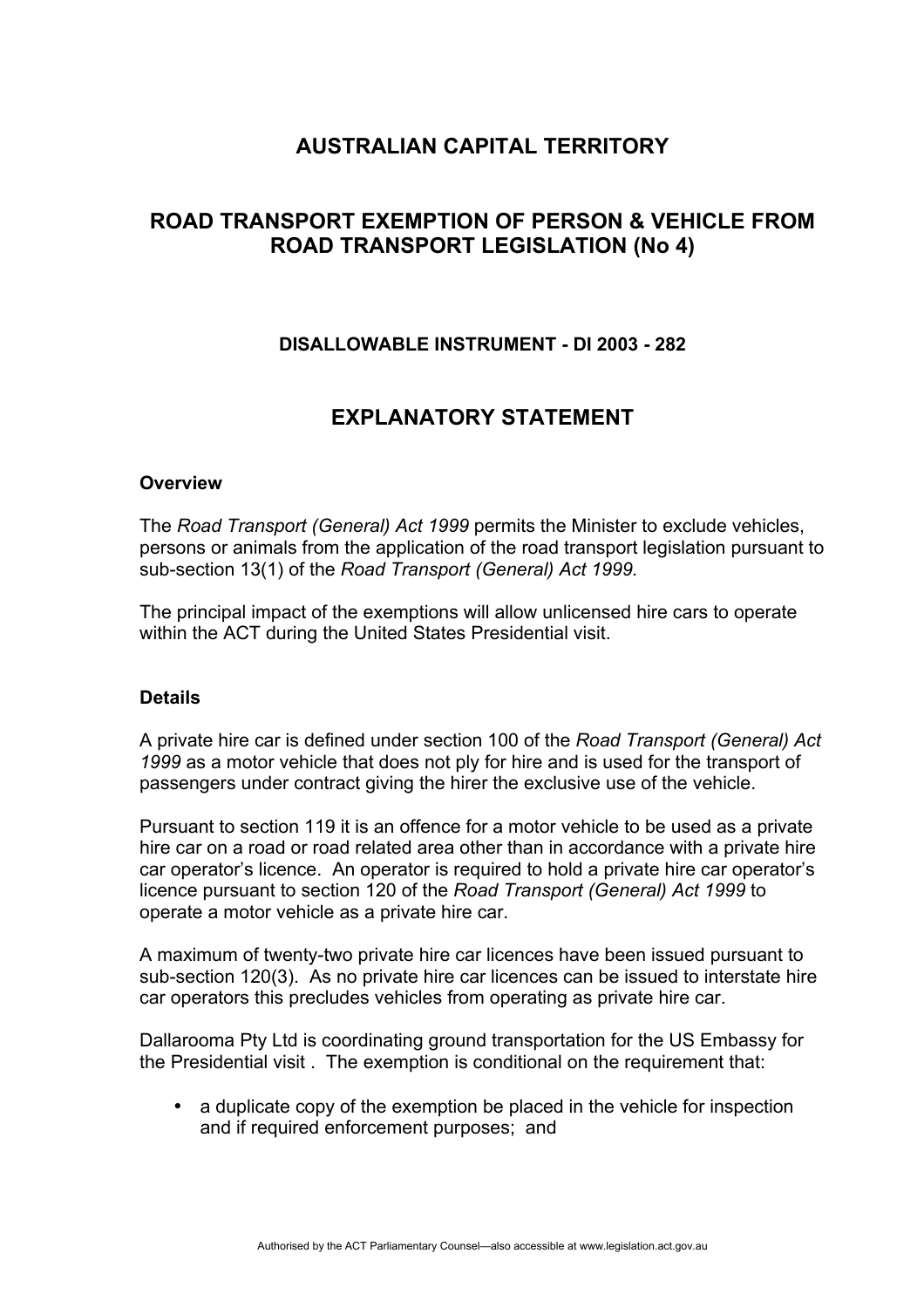### **AUSTRALIAN CAPITAL TERRITORY**

## **ROAD TRANSPORT EXEMPTION OF PERSON & VEHICLE FROM ROAD TRANSPORT LEGISLATION (No 4)**

#### **DISALLOWABLE INSTRUMENT - DI 2003 - 282**

### **EXPLANATORY STATEMENT**

#### **Overview**

The *Road Transport (General) Act 1999* permits the Minister to exclude vehicles, persons or animals from the application of the road transport legislation pursuant to sub-section 13(1) of the *Road Transport (General) Act 1999.*

The principal impact of the exemptions will allow unlicensed hire cars to operate within the ACT during the United States Presidential visit.

#### **Details**

A private hire car is defined under section 100 of the *Road Transport (General) Act 1999* as a motor vehicle that does not ply for hire and is used for the transport of passengers under contract giving the hirer the exclusive use of the vehicle.

Pursuant to section 119 it is an offence for a motor vehicle to be used as a private hire car on a road or road related area other than in accordance with a private hire car operator's licence. An operator is required to hold a private hire car operator's licence pursuant to section 120 of the *Road Transport (General) Act 1999* to operate a motor vehicle as a private hire car.

A maximum of twenty-two private hire car licences have been issued pursuant to sub-section 120(3). As no private hire car licences can be issued to interstate hire car operators this precludes vehicles from operating as private hire car.

Dallarooma Pty Ltd is coordinating ground transportation for the US Embassy for the Presidential visit . The exemption is conditional on the requirement that:

• a duplicate copy of the exemption be placed in the vehicle for inspection and if required enforcement purposes; and